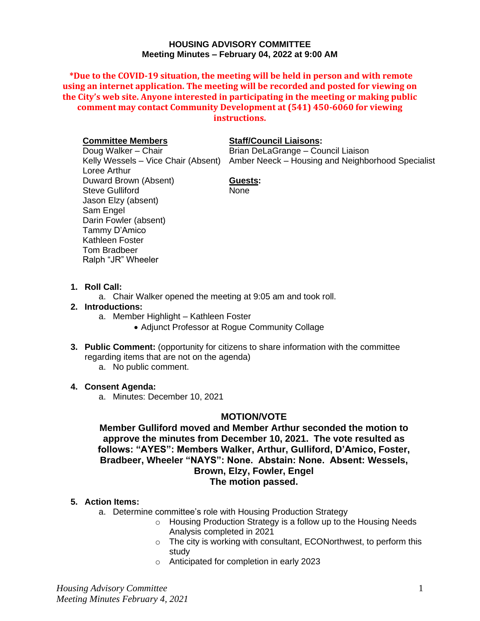#### **HOUSING ADVISORY COMMITTEE Meeting Minutes – February 04, 2022 at 9:00 AM**

**\*Due to the COVID-19 situation, the meeting will be held in person and with remote using an internet application. The meeting will be recorded and posted for viewing on the City's web site. Anyone interested in participating in the meeting or making public comment may contact Community Development at (541) 450-6060 for viewing instructions.**

#### **Committee Members**

Doug Walker – Chair Loree Arthur Duward Brown (Absent) Steve Gulliford Jason Elzy (absent) Sam Engel Darin Fowler (absent) Tammy D'Amico Kathleen Foster Tom Bradbeer Ralph "JR" Wheeler

#### **Staff/Council Liaisons:**

Kelly Wessels – Vice Chair (Absent) Amber Neeck – Housing and Neighborhood Specialist Brian DeLaGrange – Council Liaison

# **Guests:**

None

## **1. Roll Call:**

a. Chair Walker opened the meeting at 9:05 am and took roll.

#### **2. Introductions:**

- a. Member Highlight Kathleen Foster
	- Adjunct Professor at Rogue Community Collage
- **3. Public Comment:** (opportunity for citizens to share information with the committee regarding items that are not on the agenda)
	- a. No public comment.

## **4. Consent Agenda:**

a. Minutes: December 10, 2021

# **MOTION/VOTE**

**Member Gulliford moved and Member Arthur seconded the motion to approve the minutes from December 10, 2021. The vote resulted as follows: "AYES": Members Walker, Arthur, Gulliford, D'Amico, Foster, Bradbeer, Wheeler "NAYS": None. Abstain: None. Absent: Wessels, Brown, Elzy, Fowler, Engel The motion passed.**

## **5. Action Items:**

- a. Determine committee's role with Housing Production Strategy
	- o Housing Production Strategy is a follow up to the Housing Needs Analysis completed in 2021
	- $\circ$  The city is working with consultant, ECONorthwest, to perform this study
	- o Anticipated for completion in early 2023

*Housing Advisory Committee Meeting Minutes February 4, 2021*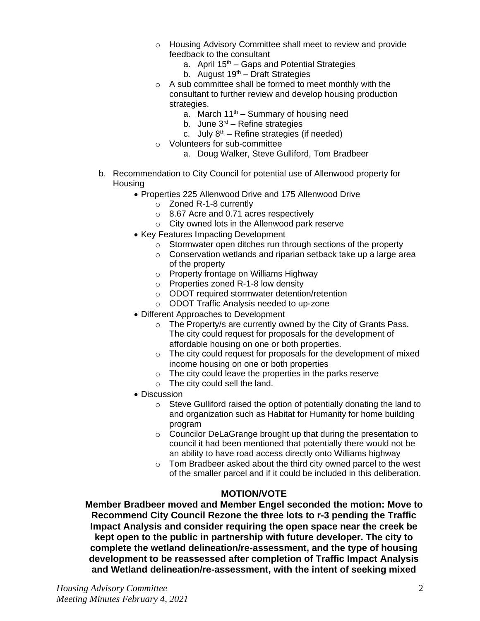- o Housing Advisory Committee shall meet to review and provide feedback to the consultant
	- a. April  $15<sup>th</sup> Gaps$  and Potential Strategies
	- b. August  $19^{th}$  Draft Strategies
- o A sub committee shall be formed to meet monthly with the consultant to further review and develop housing production strategies.
	- a. March  $11^{th}$  Summary of housing need
	- b. June  $3<sup>rd</sup>$  Refine strategies
	- c. July  $8<sup>th</sup>$  Refine strategies (if needed)
- o Volunteers for sub-committee
	- a. Doug Walker, Steve Gulliford, Tom Bradbeer
- b. Recommendation to City Council for potential use of Allenwood property for **Housing** 
	- Properties 225 Allenwood Drive and 175 Allenwood Drive
		- o Zoned R-1-8 currently
		- o 8.67 Acre and 0.71 acres respectively
		- o City owned lots in the Allenwood park reserve
	- Key Features Impacting Development
		- o Stormwater open ditches run through sections of the property
		- o Conservation wetlands and riparian setback take up a large area of the property
		- o Property frontage on Williams Highway
		- o Properties zoned R-1-8 low density
		- o ODOT required stormwater detention/retention
		- o ODOT Traffic Analysis needed to up-zone
	- Different Approaches to Development
		- o The Property/s are currently owned by the City of Grants Pass. The city could request for proposals for the development of affordable housing on one or both properties.
		- $\circ$  The city could request for proposals for the development of mixed income housing on one or both properties
		- o The city could leave the properties in the parks reserve
		- o The city could sell the land.
	- Discussion
		- o Steve Gulliford raised the option of potentially donating the land to and organization such as Habitat for Humanity for home building program
		- o Councilor DeLaGrange brought up that during the presentation to council it had been mentioned that potentially there would not be an ability to have road access directly onto Williams highway
		- o Tom Bradbeer asked about the third city owned parcel to the west of the smaller parcel and if it could be included in this deliberation.

# **MOTION/VOTE**

**Member Bradbeer moved and Member Engel seconded the motion: Move to Recommend City Council Rezone the three lots to r-3 pending the Traffic Impact Analysis and consider requiring the open space near the creek be kept open to the public in partnership with future developer. The city to complete the wetland delineation/re-assessment, and the type of housing development to be reassessed after completion of Traffic Impact Analysis and Wetland delineation/re-assessment, with the intent of seeking mixed**